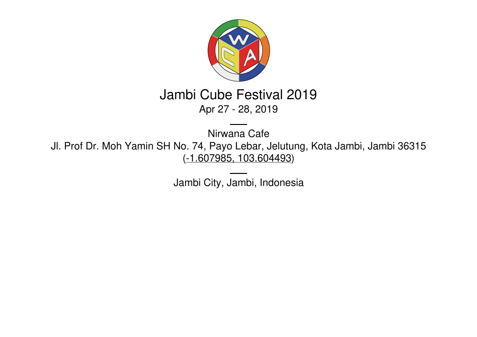

# Jambi Cube Festival 2019 Apr 27 - 28, 2019

Nirwana Cafe Jl. Prof Dr. Moh Yamin SH No. 74, Payo Lebar, Jelutung, Kota Jambi, Jambi 36315 (-1.607985, [103.604493\)](https://www.google.com/maps/place/-1.607985,103.604493)

Jambi City, Jambi, Indonesia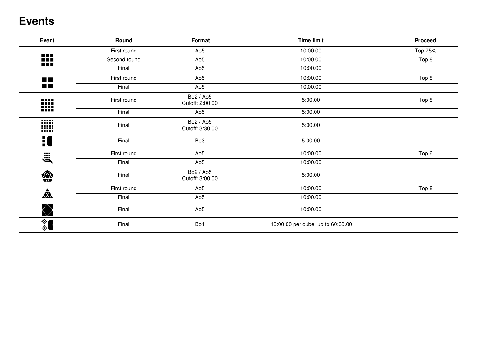### **Events**

| Event                   | Round        | Format                       | <b>Time limit</b>                 | <b>Proceed</b> |
|-------------------------|--------------|------------------------------|-----------------------------------|----------------|
|                         | First round  | Ao <sub>5</sub>              | 10:00.00                          | Top 75%        |
| <b>BBB</b><br>ooo<br>nn | Second round | Ao <sub>5</sub>              | 10:00.00                          | Top 8          |
|                         | Final        | Ao <sub>5</sub>              | 10:00.00                          |                |
| $\blacksquare$          | First round  | Ao <sub>5</sub>              | 10:00.00                          | Top 8          |
| $\blacksquare$          | Final        | Ao <sub>5</sub>              | 10:00.00                          |                |
| ₩                       | First round  | Bo2 / Ao5<br>Cutoff: 2:00.00 | 5:00.00                           | Top 8          |
|                         | Final        | Ao <sub>5</sub>              | 5:00.00                           |                |
| W                       | Final        | Bo2 / Ao5<br>Cutoff: 3:30.00 | 5:00.00                           |                |
| H                       | Final        | Bo <sub>3</sub>              | 5:00.00                           |                |
| <b>Elle</b>             | First round  | Ao <sub>5</sub>              | 10:00.00                          | Top 6          |
|                         | Final        | Ao <sub>5</sub>              | 10:00.00                          |                |
| 樂                       | Final        | Bo2 / Ao5<br>Cutoff: 3:00.00 | 5:00.00                           |                |
|                         | First round  | Ao <sub>5</sub>              | 10:00.00                          | Top 8          |
| $\frac{1}{\sqrt{2}}$    | Final        | Ao <sub>5</sub>              | 10:00.00                          |                |
| $\bigotimes$            | Final        | Ao <sub>5</sub>              | 10:00.00                          |                |
| ै                       | Final        | Bo1                          | 10:00.00 per cube, up to 60:00.00 |                |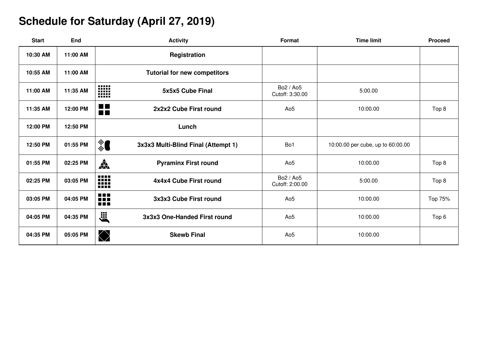## **Schedule for Saturday (April 27, 2019)**

| <b>Start</b> | End      | <b>Activity</b>                                                 | Format                       | <b>Time limit</b>                 | <b>Proceed</b> |
|--------------|----------|-----------------------------------------------------------------|------------------------------|-----------------------------------|----------------|
| 10:30 AM     | 11:00 AM | Registration                                                    |                              |                                   |                |
| 10:55 AM     | 11:00 AM | <b>Tutorial for new competitors</b>                             |                              |                                   |                |
| 11:00 AM     | 11:35 AM | W<br>5x5x5 Cube Final                                           | Bo2 / Ao5<br>Cutoff: 3:30.00 | 5:00.00                           |                |
| 11:35 AM     | 12:00 PM | $\blacksquare$<br>2x2x2 Cube First round<br>$\blacksquare$      | Ao <sub>5</sub>              | 10:00.00                          | Top 8          |
| 12:00 PM     | 12:50 PM | Lunch                                                           |                              |                                   |                |
| 12:50 PM     | 01:55 PM | ै<br>3x3x3 Multi-Blind Final (Attempt 1)                        | Bo1                          | 10:00.00 per cube, up to 60:00.00 |                |
| 01:55 PM     | 02:25 PM | 森<br><b>Pyraminx First round</b>                                | Ao <sub>5</sub>              | 10:00.00                          | Top 8          |
| 02:25 PM     | 03:05 PM | ₩<br>4x4x4 Cube First round                                     | Bo2 / Ao5<br>Cutoff: 2:00.00 | 5:00.00                           | Top 8          |
| 03:05 PM     | 04:05 PM | <b>A 8 8</b><br>3x3x3 Cube First round<br>n din 1<br><b>REE</b> | Ao <sub>5</sub>              | 10:00.00                          | Top 75%        |
| 04:05 PM     | 04:35 PM | <b>E</b><br>3x3x3 One-Handed First round                        | Ao <sub>5</sub>              | 10:00.00                          | Top 6          |
| 04:35 PM     | 05:05 PM | $\bigotimes$<br><b>Skewb Final</b>                              | Ao <sub>5</sub>              | 10:00.00                          |                |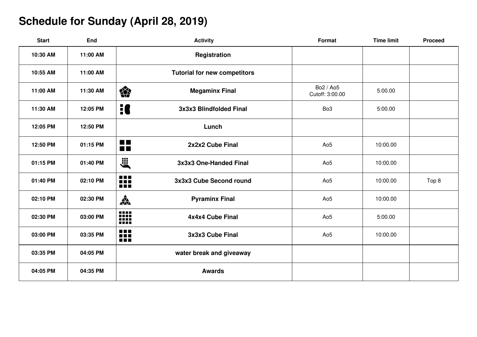## **Schedule for Sunday (April 28, 2019)**

| <b>Start</b> | <b>End</b> | <b>Activity</b>                                               | Format                       | <b>Time limit</b> | <b>Proceed</b> |
|--------------|------------|---------------------------------------------------------------|------------------------------|-------------------|----------------|
| 10:30 AM     | 11:00 AM   | Registration                                                  |                              |                   |                |
| 10:55 AM     | 11:00 AM   | <b>Tutorial for new competitors</b>                           |                              |                   |                |
| 11:00 AM     | 11:30 AM   | 樂<br><b>Megaminx Final</b>                                    | Bo2 / Ao5<br>Cutoff: 3:00.00 | 5:00.00           |                |
| 11:30 AM     | 12:05 PM   | 10<br>3x3x3 Blindfolded Final                                 | Bo <sub>3</sub>              | 5:00.00           |                |
| 12:05 PM     | 12:50 PM   | Lunch                                                         |                              |                   |                |
| 12:50 PM     | 01:15 PM   | $\blacksquare$<br>2x2x2 Cube Final<br><b>THE</b>              | Ao <sub>5</sub>              | 10:00.00          |                |
| 01:15 PM     | 01:40 PM   | ä,<br>3x3x3 One-Handed Final                                  | Ao <sub>5</sub>              | 10:00.00          |                |
| 01:40 PM     | 02:10 PM   | ₩<br>3x3x3 Cube Second round                                  | Ao <sub>5</sub>              | 10:00.00          | Top 8          |
| 02:10 PM     | 02:30 PM   | $\frac{1}{\sqrt{2}}$<br><b>Pyraminx Final</b>                 | Ao <sub>5</sub>              | 10:00.00          |                |
| 02:30 PM     | 03:00 PM   | ₩<br>4x4x4 Cube Final                                         | Ao <sub>5</sub>              | 5:00.00           |                |
| 03:00 PM     | 03:35 PM   | 88<br>3x3x3 Cube Final<br>$\blacksquare$<br>If $\blacksquare$ | Ao <sub>5</sub>              | 10:00.00          |                |
| 03:35 PM     | 04:05 PM   | water break and giveaway                                      |                              |                   |                |
| 04:05 PM     | 04:35 PM   | <b>Awards</b>                                                 |                              |                   |                |